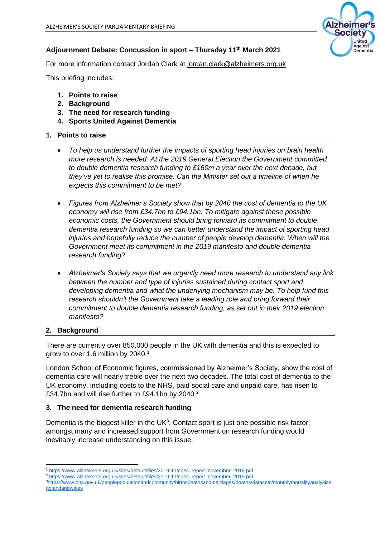

### **Adjournment Debate: Concussion in sport – Thursday 11th March 2021**

For more information contact Jordan Clark at [jordan.clark@alzheimers.org.uk](mailto:jordan.clark@alzheimers.org.uk)

This briefing includes:

- **1. Points to raise**
- **2. Background**
- **3. The need for research funding**
- **4. Sports United Against Dementia**

### **1. Points to raise**

- *To help us understand further the impacts of sporting head injuries on brain health more research is needed. At the 2019 General Election the Government committed to double dementia research funding to £160m a year over the next decade, but they've yet to realise this promise. Can the Minister set out a timeline of when he expects this commitment to be met?*
- *Figures from Alzheimer's Society show that by 2040 the cost of dementia to the UK economy will rise from £34.7bn to £94.1bn. To mitigate against these possible economic costs, the Government should bring forward its commitment to double dementia research funding so we can better understand the impact of sporting head injuries and hopefully reduce the number of people develop dementia. When will the Government meet its commitment in the 2019 manifesto and double dementia research funding?*
- *Alzheimer's Society says that we urgently need more research to understand any link between the number and type of injuries sustained during contact sport and developing dementia and what the underlying mechanism may be. To help fund this research shouldn't the Government take a leading role and bring forward their commitment to double dementia research funding, as set out in their 2019 election manifesto?*

# **2. Background**

There are currently over 850,000 people in the UK with dementia and this is expected to grow to over 1.6 million by 2040.<sup>1</sup>

London School of Economic figures, commissioned by Alzheimer's Society, show the cost of dementia care will nearly treble over the next two decades. The total cost of dementia to the UK economy, including costs to the NHS, paid social care and unpaid care, has risen to £34.7bn and will rise further to £94.1bn by 2040.<sup>2</sup>

# **3. The need for dementia research funding**

Dementia is the biggest killer in the UK $3$ . Contact sport is just one possible risk factor, amongst many and increased support from Government on research funding would inevitably increase understanding on this issue.

<sup>1</sup> [https://www.alzheimers.org.uk/sites/default/files/2019-11/cpec\\_report\\_november\\_2019.pdf](https://www.alzheimers.org.uk/sites/default/files/2019-11/cpec_report_november_2019.pdf)

[https://www.alzheimers.org.uk/sites/default/files/2019-11/cpec\\_report\\_november\\_2019.pdf](https://www.alzheimers.org.uk/sites/default/files/2019-11/cpec_report_november_2019.pdf)

<sup>3</sup>[https://www.ons.gov.uk/peoplepopulationandcommunity/birthsdeathsandmarriages/deaths/datasets/monthlymortalityanalysise](https://www.ons.gov.uk/peoplepopulationandcommunity/birthsdeathsandmarriages/deaths/datasets/monthlymortalityanalysisenglandandwales) [nglandandwales](https://www.ons.gov.uk/peoplepopulationandcommunity/birthsdeathsandmarriages/deaths/datasets/monthlymortalityanalysisenglandandwales)